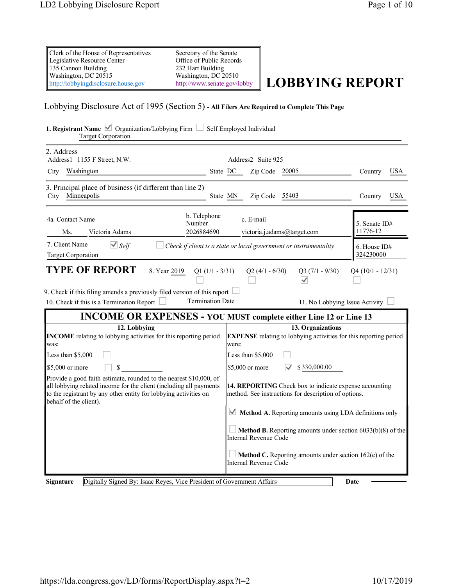| Clerk of the House of Representatives | Secretary of the Senate  |
|---------------------------------------|--------------------------|
| Legislative Resource Center           | Office of Public Records |
| 135 Cannon Building                   | 232 Hart Building        |
| Washington, DC 20515                  | Washington, DC 20510     |
| http://lobbyingdisclosure.house.gov   | http://www.senate.gov/lo |
|                                       |                          |

 $\frac{\text{SINR}}{\text{SEnate.goV/lobby}}$  **LOBBYING REPORT** 

# Lobbying Disclosure Act of 1995 (Section 5) **- All Filers Are Required to Complete This Page**

| <b>1. Registrant Name </b> $\vee$ Organization/Lobbying Firm $\Box$ Self Employed Individual<br><b>Target Corporation</b>                                                                                                              |                                                                                                                    |                                       |  |  |  |  |
|----------------------------------------------------------------------------------------------------------------------------------------------------------------------------------------------------------------------------------------|--------------------------------------------------------------------------------------------------------------------|---------------------------------------|--|--|--|--|
| 2. Address<br>Address1 1155 F Street, N.W.                                                                                                                                                                                             | Address2 Suite 925                                                                                                 |                                       |  |  |  |  |
| State DC<br>Washington<br>City                                                                                                                                                                                                         | Zip Code 20005                                                                                                     | <b>USA</b><br>Country                 |  |  |  |  |
| 3. Principal place of business (if different than line 2)<br>Minneapolis<br>City                                                                                                                                                       | State MN<br>Zip Code 55403                                                                                         | <b>USA</b><br>Country                 |  |  |  |  |
| b. Telephone<br>4a. Contact Name<br>Number<br>2026884690<br>Ms.<br>Victoria Adams                                                                                                                                                      | c. E-mail<br>victoria.j.adams@target.com                                                                           | 5. Senate ID#<br>11776-12             |  |  |  |  |
| 7. Client Name<br>$\vee$ Self<br><b>Target Corporation</b>                                                                                                                                                                             | Check if client is a state or local government or instrumentality                                                  | 6. House ID#<br>324230000             |  |  |  |  |
| <b>TYPE OF REPORT</b>                                                                                                                                                                                                                  | 8. Year 2019 Q1 (1/1 - 3/31)<br>$Q2(4/1 - 6/30)$<br>$Q3(7/1 - 9/30)$<br>$Q4(10/1 - 12/31)$<br>$\blacktriangledown$ |                                       |  |  |  |  |
| 9. Check if this filing amends a previously filed version of this report<br><b>Termination Date</b><br>10. Check if this is a Termination Report                                                                                       |                                                                                                                    | 11. No Lobbying Issue Activity $\Box$ |  |  |  |  |
| <b>INCOME OR EXPENSES - YOU MUST complete either Line 12 or Line 13</b>                                                                                                                                                                |                                                                                                                    |                                       |  |  |  |  |
| 12. Lobbying<br><b>INCOME</b> relating to lobbying activities for this reporting period<br>was:                                                                                                                                        | 13. Organizations<br><b>EXPENSE</b> relating to lobbying activities for this reporting period<br>were:             |                                       |  |  |  |  |
| Less than \$5,000                                                                                                                                                                                                                      | Less than $$5,000$                                                                                                 |                                       |  |  |  |  |
| \$5,000 or more<br>\$                                                                                                                                                                                                                  | \$5,000 or more<br>\$330,000.00                                                                                    |                                       |  |  |  |  |
| Provide a good faith estimate, rounded to the nearest \$10,000, of<br>all lobbying related income for the client (including all payments<br>to the registrant by any other entity for lobbying activities on<br>behalf of the client). | 14. REPORTING Check box to indicate expense accounting<br>method. See instructions for description of options.     |                                       |  |  |  |  |
|                                                                                                                                                                                                                                        | $\blacktriangleright$ Method A. Reporting amounts using LDA definitions only                                       |                                       |  |  |  |  |
|                                                                                                                                                                                                                                        | <b>Method B.</b> Reporting amounts under section $6033(b)(8)$ of the<br>Internal Revenue Code                      |                                       |  |  |  |  |
|                                                                                                                                                                                                                                        | Method C. Reporting amounts under section 162(e) of the<br>Internal Revenue Code                                   |                                       |  |  |  |  |
| Digitally Signed By: Isaac Reyes, Vice President of Government Affairs<br>Signature                                                                                                                                                    |                                                                                                                    | Date                                  |  |  |  |  |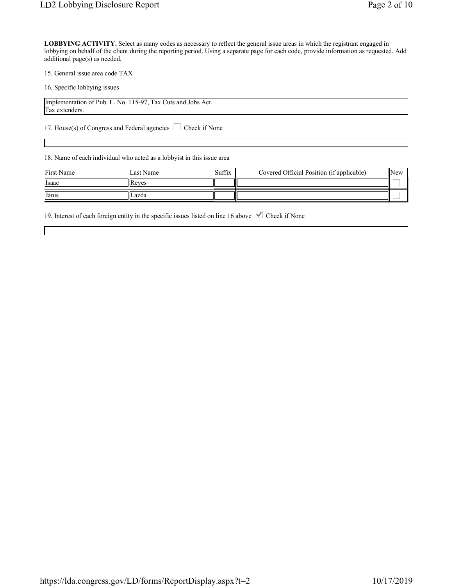15. General issue area code TAX

16. Specific lobbying issues

| Implementation of Pub. L<br>L. No. 115-97. Tax Cuts and .<br>Jobs Act. |  |
|------------------------------------------------------------------------|--|
| Tax extenders                                                          |  |

17. House(s) of Congress and Federal agencies Check if None

18. Name of each individual who acted as a lobbyist in this issue area

| First Name | Last Name | Suffix | Covered Official Position (if applicable) | New |
|------------|-----------|--------|-------------------------------------------|-----|
| Isaac      | IIReves   |        |                                           |     |
| Janis      | ILazda    |        |                                           |     |

19. Interest of each foreign entity in the specific issues listed on line 16 above  $\blacksquare$  Check if None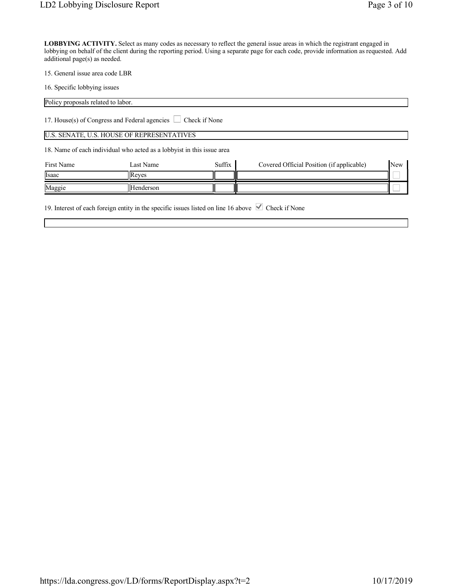15. General issue area code LBR

16. Specific lobbying issues

Policy proposals related to labor.

17. House(s) of Congress and Federal agencies Check if None

#### U.S. SENATE, U.S. HOUSE OF REPRESENTATIVES

18. Name of each individual who acted as a lobbyist in this issue area

| First Name | Last Name     | Suffix | Covered Official Position (if applicable) | New |
|------------|---------------|--------|-------------------------------------------|-----|
| Isaac      | <b>IReves</b> |        |                                           |     |
| Maggie     | Henderson     |        |                                           |     |

19. Interest of each foreign entity in the specific issues listed on line 16 above  $\blacksquare$  Check if None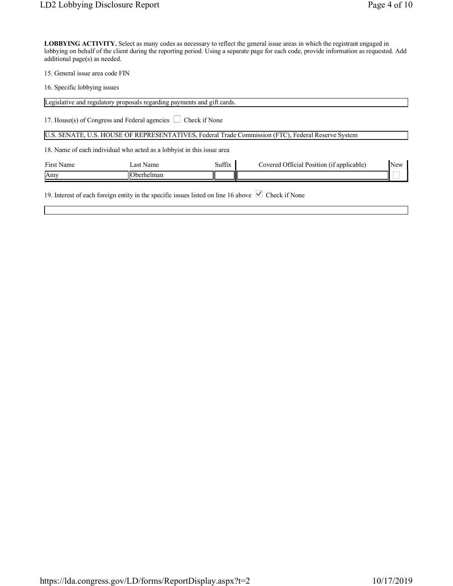15. General issue area code FIN

16. Specific lobbying issues

|            | Legislative and regulatory proposals regarding payments and gift cards.                                         |               |                                                                                                    |     |
|------------|-----------------------------------------------------------------------------------------------------------------|---------------|----------------------------------------------------------------------------------------------------|-----|
|            | 17. House(s) of Congress and Federal agencies $\Box$                                                            | Check if None |                                                                                                    |     |
|            |                                                                                                                 |               | U.S. SENATE, U.S. HOUSE OF REPRESENTATIVES, Federal Trade Commission (FTC), Federal Reserve System |     |
|            | 18. Name of each individual who acted as a lobbyist in this issue area                                          |               |                                                                                                    |     |
| First Name | Last Name                                                                                                       | Suffix        | Covered Official Position (if applicable)                                                          | New |
| Amy        | <b>Oberhelman</b>                                                                                               |               |                                                                                                    |     |
|            | 19. Interest of each foreign entity in the specific issues listed on line 16 above $\blacksquare$ Check if None |               |                                                                                                    |     |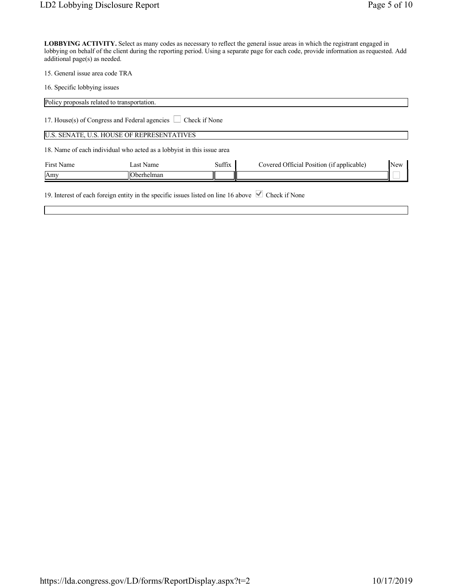15. General issue area code TRA

16. Specific lobbying issues

| Policy proposals related to transportation. |                                                                        |               |                                           |     |
|---------------------------------------------|------------------------------------------------------------------------|---------------|-------------------------------------------|-----|
|                                             | 17. House(s) of Congress and Federal agencies $\Box$                   | Check if None |                                           |     |
|                                             | U.S. SENATE, U.S. HOUSE OF REPRESENTATIVES                             |               |                                           |     |
|                                             | 18. Name of each individual who acted as a lobbyist in this issue area |               |                                           |     |
| First Name                                  | Last Name                                                              | Suffix        | Covered Official Position (if applicable) | New |
| Amy                                         | Oberhelman                                                             |               |                                           |     |
|                                             |                                                                        |               |                                           |     |

19. Interest of each foreign entity in the specific issues listed on line 16 above  $\blacktriangledown$  Check if None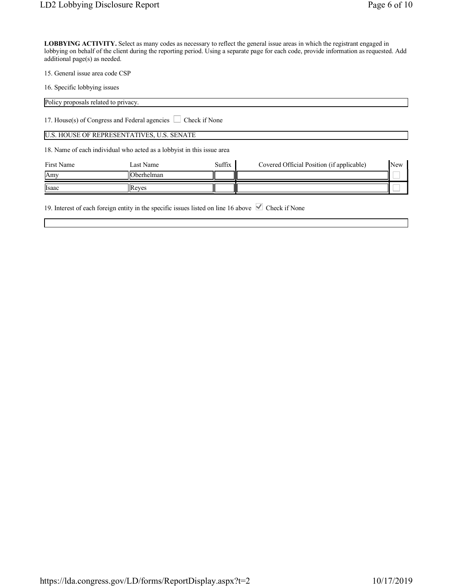15. General issue area code CSP

16. Specific lobbying issues

Policy proposals related to privacy.

17. House(s) of Congress and Federal agencies  $\Box$  Check if None

# U.S. HOUSE OF REPRESENTATIVES, U.S. SENATE

18. Name of each individual who acted as a lobbyist in this issue area

| First Name | Last Name     | Suffix | Covered Official Position (if applicable) | New |
|------------|---------------|--------|-------------------------------------------|-----|
| <b>Amy</b> | llOberhelman  |        |                                           |     |
| Isaac      | <b>IReves</b> |        |                                           |     |

19. Interest of each foreign entity in the specific issues listed on line 16 above  $\blacksquare$  Check if None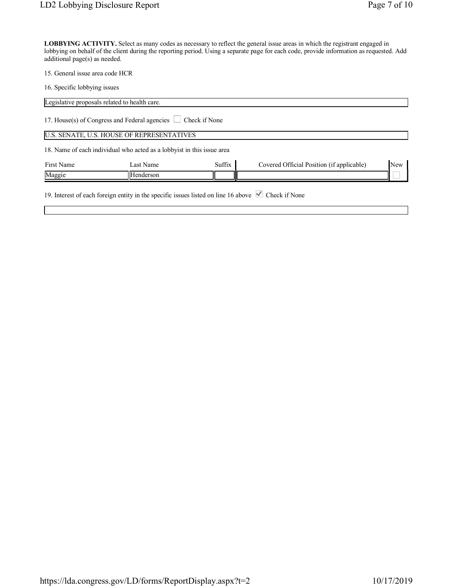15. General issue area code HCR

16. Specific lobbying issues

|            | Legislative proposals related to health care.                           |               |                                           |            |
|------------|-------------------------------------------------------------------------|---------------|-------------------------------------------|------------|
|            | 17. House(s) of Congress and Federal agencies $\Box$                    | Check if None |                                           |            |
|            | U.S. SENATE, U.S. HOUSE OF REPRESENTATIVES                              |               |                                           |            |
|            | 18. Name of each individual who acted as a lobby ist in this issue area |               |                                           |            |
| First Name | Last Name                                                               | Suffix        | Covered Official Position (if applicable) | <b>New</b> |
| Maggie     | Henderson                                                               |               |                                           |            |
|            |                                                                         |               |                                           |            |

19. Interest of each foreign entity in the specific issues listed on line 16 above  $\blacktriangledown$  Check if None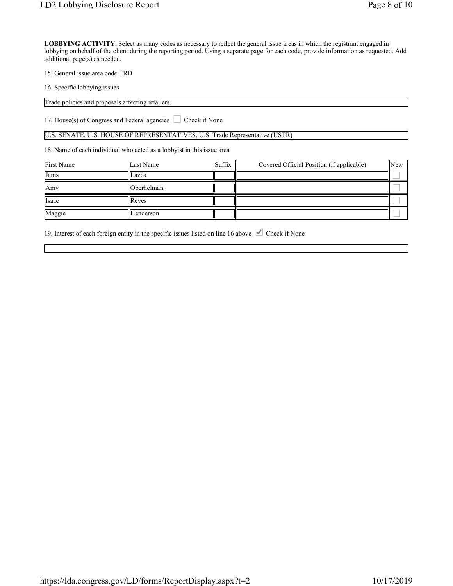15. General issue area code TRD

16. Specific lobbying issues

Trade policies and proposals affecting retailers.

17. House(s) of Congress and Federal agencies  $\Box$  Check if None

U.S. SENATE, U.S. HOUSE OF REPRESENTATIVES, U.S. Trade Representative (USTR)

18. Name of each individual who acted as a lobbyist in this issue area

| First Name | Last Name    | Suffix | Covered Official Position (if applicable) | <b>New</b> |
|------------|--------------|--------|-------------------------------------------|------------|
| Janis      | Lazda        |        |                                           |            |
| Amy        | Oberhelman   |        |                                           |            |
| Isaac      | <b>Reves</b> |        |                                           |            |
| Maggie     | Henderson    |        |                                           |            |

19. Interest of each foreign entity in the specific issues listed on line 16 above  $\blacktriangledown$  Check if None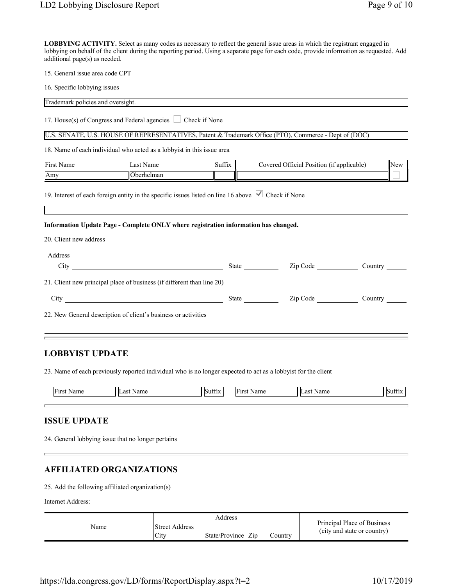15. General issue area code CPT

16. Specific lobbying issues

| Trademark policies and oversight.     |                                                                                     |        |                                                                                                       |         |
|---------------------------------------|-------------------------------------------------------------------------------------|--------|-------------------------------------------------------------------------------------------------------|---------|
|                                       | 17. House(s) of Congress and Federal agencies $\Box$ Check if None                  |        |                                                                                                       |         |
|                                       |                                                                                     |        | U.S. SENATE, U.S. HOUSE OF REPRESENTATIVES, Patent & Trademark Office (PTO), Commerce - Dept of (DOC) |         |
|                                       | 18. Name of each individual who acted as a lobbyist in this issue area              |        |                                                                                                       |         |
| <b>First Name</b>                     | Last Name                                                                           | Suffix | Covered Official Position (if applicable)                                                             | New     |
| $\sqrt{\frac{\text{Any}}{\text{arg}}$ | Oberhelman                                                                          |        |                                                                                                       |         |
| 20. Client new address                | Information Update Page - Complete ONLY where registration information has changed. |        |                                                                                                       |         |
|                                       |                                                                                     |        |                                                                                                       |         |
| Address                               |                                                                                     |        |                                                                                                       |         |
| $City_$                               | <u> 2008 - Andrea Andrew Maria (h. 18</u>                                           |        | State <u>Zip Code</u>                                                                                 | Country |
|                                       | 21. Client new principal place of business (if different than line 20)              |        |                                                                                                       |         |
|                                       |                                                                                     |        | State <u>Zip Code</u>                                                                                 | Country |
|                                       | 22. New General description of client's business or activities                      |        |                                                                                                       |         |
| L ABBULAT LIBB LIBB                   |                                                                                     |        |                                                                                                       |         |

# **LOBBYIST UPDATE**

23. Name of each previously reported individual who is no longer expected to act as a lobbyist for the client

| Iт | II<br>$^{\circ}$ | $\sim$<br>$\sim$ | ш | Л<br>$\mathbf{a}$ $\mathbf{c}$ | $\sim$<br>$\sim$ |
|----|------------------|------------------|---|--------------------------------|------------------|
|    |                  |                  |   |                                |                  |

### **ISSUE UPDATE**

24. General lobbying issue that no longer pertains

### **AFFILIATED ORGANIZATIONS**

25. Add the following affiliated organization(s)

Internet Address:

|      | Address                       |                    |         |                                                            |
|------|-------------------------------|--------------------|---------|------------------------------------------------------------|
| Name | <b>Street Address</b><br>City | State/Province Zip | Country | Principal Place of Business<br>(city and state or country) |